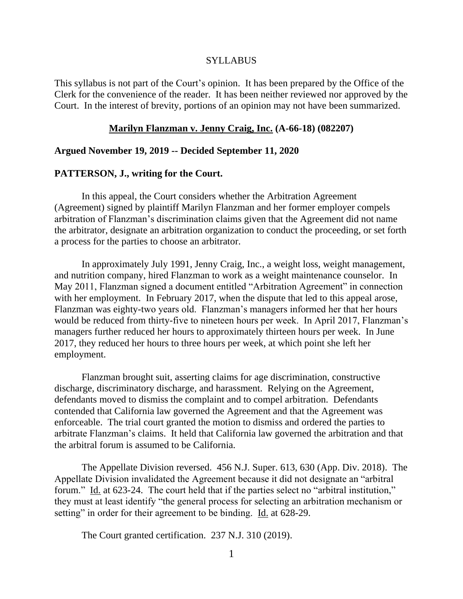#### SYLLABUS

This syllabus is not part of the Court's opinion. It has been prepared by the Office of the Clerk for the convenience of the reader. It has been neither reviewed nor approved by the Court. In the interest of brevity, portions of an opinion may not have been summarized.

#### **Marilyn Flanzman v. Jenny Craig, Inc. (A-66-18) (082207)**

## **Argued November 19, 2019 -- Decided September 11, 2020**

#### **PATTERSON, J., writing for the Court.**

In this appeal, the Court considers whether the Arbitration Agreement (Agreement) signed by plaintiff Marilyn Flanzman and her former employer compels arbitration of Flanzman's discrimination claims given that the Agreement did not name the arbitrator, designate an arbitration organization to conduct the proceeding, or set forth a process for the parties to choose an arbitrator.

In approximately July 1991, Jenny Craig, Inc., a weight loss, weight management, and nutrition company, hired Flanzman to work as a weight maintenance counselor. In May 2011, Flanzman signed a document entitled "Arbitration Agreement" in connection with her employment. In February 2017, when the dispute that led to this appeal arose, Flanzman was eighty-two years old. Flanzman's managers informed her that her hours would be reduced from thirty-five to nineteen hours per week. In April 2017, Flanzman's managers further reduced her hours to approximately thirteen hours per week. In June 2017, they reduced her hours to three hours per week, at which point she left her employment.

Flanzman brought suit, asserting claims for age discrimination, constructive discharge, discriminatory discharge, and harassment. Relying on the Agreement, defendants moved to dismiss the complaint and to compel arbitration. Defendants contended that California law governed the Agreement and that the Agreement was enforceable. The trial court granted the motion to dismiss and ordered the parties to arbitrate Flanzman's claims. It held that California law governed the arbitration and that the arbitral forum is assumed to be California.

The Appellate Division reversed. 456 N.J. Super. 613, 630 (App. Div. 2018). The Appellate Division invalidated the Agreement because it did not designate an "arbitral forum." Id. at 623-24. The court held that if the parties select no "arbitral institution," they must at least identify "the general process for selecting an arbitration mechanism or setting" in order for their agreement to be binding. Id. at 628-29.

The Court granted certification. 237 N.J. 310 (2019).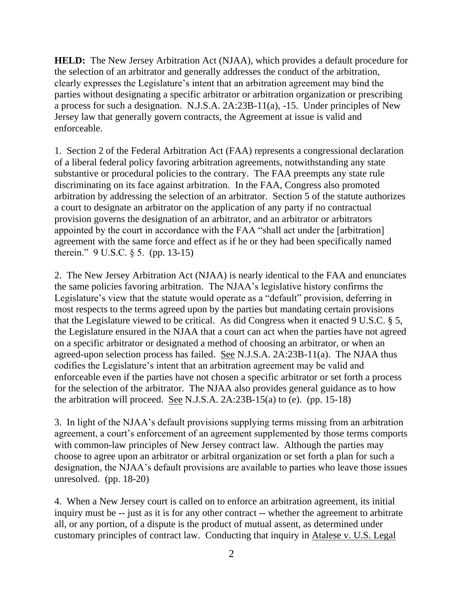**HELD:** The New Jersey Arbitration Act (NJAA), which provides a default procedure for the selection of an arbitrator and generally addresses the conduct of the arbitration, clearly expresses the Legislature's intent that an arbitration agreement may bind the parties without designating a specific arbitrator or arbitration organization or prescribing a process for such a designation. N.J.S.A. 2A:23B-11(a), -15. Under principles of New Jersey law that generally govern contracts, the Agreement at issue is valid and enforceable.

1. Section 2 of the Federal Arbitration Act (FAA) represents a congressional declaration of a liberal federal policy favoring arbitration agreements, notwithstanding any state substantive or procedural policies to the contrary. The FAA preempts any state rule discriminating on its face against arbitration. In the FAA, Congress also promoted arbitration by addressing the selection of an arbitrator. Section 5 of the statute authorizes a court to designate an arbitrator on the application of any party if no contractual provision governs the designation of an arbitrator, and an arbitrator or arbitrators appointed by the court in accordance with the FAA "shall act under the [arbitration] agreement with the same force and effect as if he or they had been specifically named therein." 9 U.S.C. § 5. (pp. 13-15)

2. The New Jersey Arbitration Act (NJAA) is nearly identical to the FAA and enunciates the same policies favoring arbitration. The NJAA's legislative history confirms the Legislature's view that the statute would operate as a "default" provision, deferring in most respects to the terms agreed upon by the parties but mandating certain provisions that the Legislature viewed to be critical. As did Congress when it enacted 9 U.S.C. § 5, the Legislature ensured in the NJAA that a court can act when the parties have not agreed on a specific arbitrator or designated a method of choosing an arbitrator, or when an agreed-upon selection process has failed. See N.J.S.A. 2A:23B-11(a). The NJAA thus codifies the Legislature's intent that an arbitration agreement may be valid and enforceable even if the parties have not chosen a specific arbitrator or set forth a process for the selection of the arbitrator. The NJAA also provides general guidance as to how the arbitration will proceed. See N.J.S.A.  $2A:23B-15(a)$  to (e). (pp. 15-18)

3. In light of the NJAA's default provisions supplying terms missing from an arbitration agreement, a court's enforcement of an agreement supplemented by those terms comports with common-law principles of New Jersey contract law. Although the parties may choose to agree upon an arbitrator or arbitral organization or set forth a plan for such a designation, the NJAA's default provisions are available to parties who leave those issues unresolved. (pp. 18-20)

4. When a New Jersey court is called on to enforce an arbitration agreement, its initial inquiry must be -- just as it is for any other contract -- whether the agreement to arbitrate all, or any portion, of a dispute is the product of mutual assent, as determined under customary principles of contract law. Conducting that inquiry in Atalese v. U.S. Legal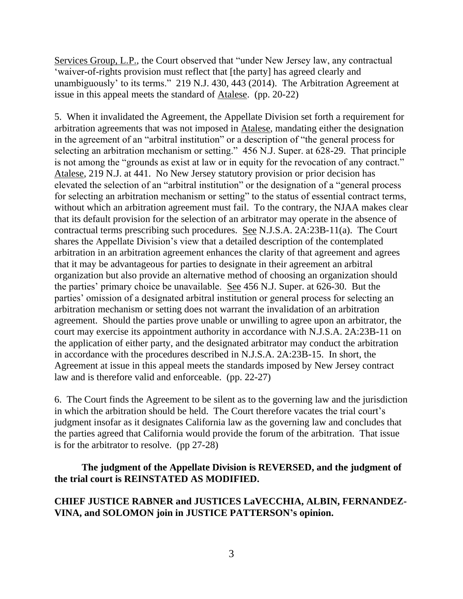Services Group, L.P., the Court observed that "under New Jersey law, any contractual 'waiver-of-rights provision must reflect that [the party] has agreed clearly and unambiguously' to its terms." 219 N.J. 430, 443 (2014). The Arbitration Agreement at issue in this appeal meets the standard of Atalese. (pp. 20-22)

5. When it invalidated the Agreement, the Appellate Division set forth a requirement for arbitration agreements that was not imposed in Atalese, mandating either the designation in the agreement of an "arbitral institution" or a description of "the general process for selecting an arbitration mechanism or setting." 456 N.J. Super. at 628-29. That principle is not among the "grounds as exist at law or in equity for the revocation of any contract." Atalese, 219 N.J. at 441. No New Jersey statutory provision or prior decision has elevated the selection of an "arbitral institution" or the designation of a "general process for selecting an arbitration mechanism or setting" to the status of essential contract terms, without which an arbitration agreement must fail. To the contrary, the NJAA makes clear that its default provision for the selection of an arbitrator may operate in the absence of contractual terms prescribing such procedures. See N.J.S.A. 2A:23B-11(a). The Court shares the Appellate Division's view that a detailed description of the contemplated arbitration in an arbitration agreement enhances the clarity of that agreement and agrees that it may be advantageous for parties to designate in their agreement an arbitral organization but also provide an alternative method of choosing an organization should the parties' primary choice be unavailable. See 456 N.J. Super. at 626-30. But the parties' omission of a designated arbitral institution or general process for selecting an arbitration mechanism or setting does not warrant the invalidation of an arbitration agreement. Should the parties prove unable or unwilling to agree upon an arbitrator, the court may exercise its appointment authority in accordance with N.J.S.A. 2A:23B-11 on the application of either party, and the designated arbitrator may conduct the arbitration in accordance with the procedures described in N.J.S.A. 2A:23B-15. In short, the Agreement at issue in this appeal meets the standards imposed by New Jersey contract law and is therefore valid and enforceable. (pp. 22-27)

6. The Court finds the Agreement to be silent as to the governing law and the jurisdiction in which the arbitration should be held. The Court therefore vacates the trial court's judgment insofar as it designates California law as the governing law and concludes that the parties agreed that California would provide the forum of the arbitration. That issue is for the arbitrator to resolve. (pp 27-28)

# **The judgment of the Appellate Division is REVERSED, and the judgment of the trial court is REINSTATED AS MODIFIED.**

# **CHIEF JUSTICE RABNER and JUSTICES LaVECCHIA, ALBIN, FERNANDEZ-VINA, and SOLOMON join in JUSTICE PATTERSON's opinion.**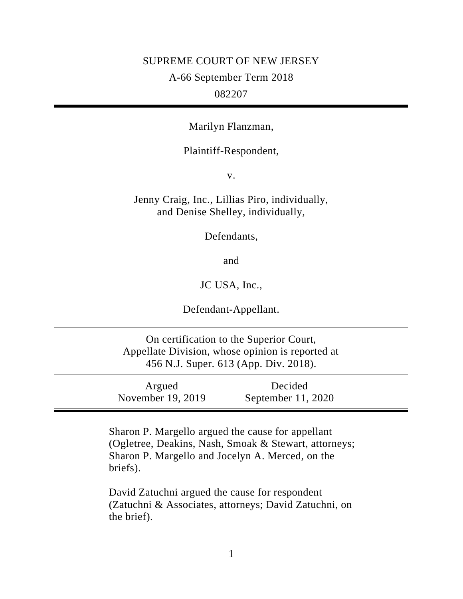## SUPREME COURT OF NEW JERSEY

A-66 September Term 2018

# 082207

Marilyn Flanzman,

# Plaintiff-Respondent,

v.

Jenny Craig, Inc., Lillias Piro, individually, and Denise Shelley, individually,

Defendants,

and

JC USA, Inc.,

Defendant-Appellant.

On certification to the Superior Court, Appellate Division, whose opinion is reported at 456 N.J. Super. 613 (App. Div. 2018).

Argued November 19, 2019 Decided September 11, 2020

Sharon P. Margello argued the cause for appellant (Ogletree, Deakins, Nash, Smoak & Stewart, attorneys; Sharon P. Margello and Jocelyn A. Merced, on the briefs).

David Zatuchni argued the cause for respondent (Zatuchni & Associates, attorneys; David Zatuchni, on the brief).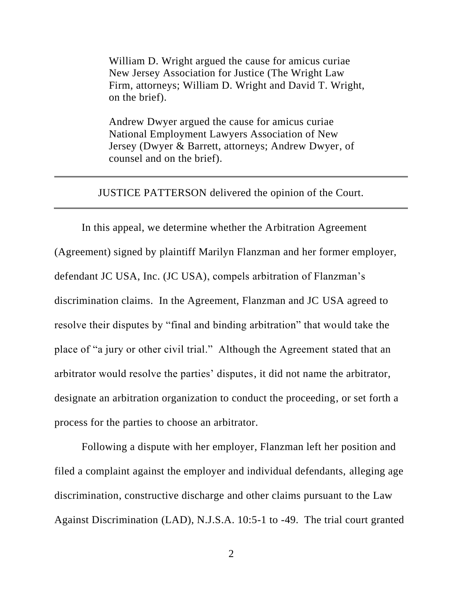William D. Wright argued the cause for amicus curiae New Jersey Association for Justice (The Wright Law Firm, attorneys; William D. Wright and David T. Wright, on the brief).

Andrew Dwyer argued the cause for amicus curiae National Employment Lawyers Association of New Jersey (Dwyer & Barrett, attorneys; Andrew Dwyer, of counsel and on the brief).

JUSTICE PATTERSON delivered the opinion of the Court.

In this appeal, we determine whether the Arbitration Agreement (Agreement) signed by plaintiff Marilyn Flanzman and her former employer, defendant JC USA, Inc. (JC USA), compels arbitration of Flanzman's discrimination claims. In the Agreement, Flanzman and JC USA agreed to resolve their disputes by "final and binding arbitration" that would take the place of "a jury or other civil trial." Although the Agreement stated that an arbitrator would resolve the parties' disputes, it did not name the arbitrator, designate an arbitration organization to conduct the proceeding, or set forth a process for the parties to choose an arbitrator.

Following a dispute with her employer, Flanzman left her position and filed a complaint against the employer and individual defendants, alleging age discrimination, constructive discharge and other claims pursuant to the Law Against Discrimination (LAD), N.J.S.A. 10:5-1 to -49. The trial court granted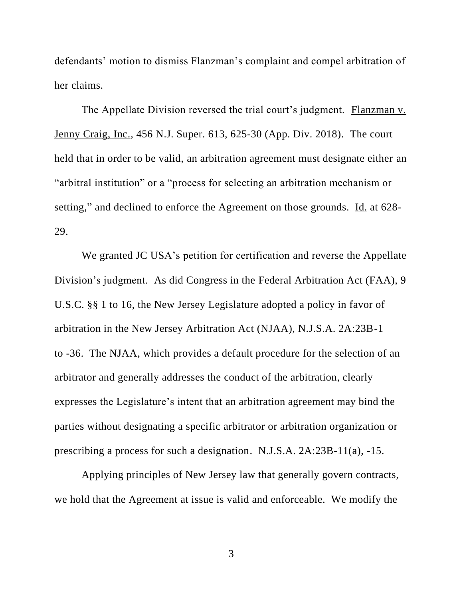defendants' motion to dismiss Flanzman's complaint and compel arbitration of her claims.

The Appellate Division reversed the trial court's judgment. Flanzman v. Jenny Craig, Inc., 456 N.J. Super. 613, 625-30 (App. Div. 2018). The court held that in order to be valid, an arbitration agreement must designate either an "arbitral institution" or a "process for selecting an arbitration mechanism or setting," and declined to enforce the Agreement on those grounds. Id. at 628- 29.

We granted JC USA's petition for certification and reverse the Appellate Division's judgment. As did Congress in the Federal Arbitration Act (FAA), 9 U.S.C. §§ 1 to 16, the New Jersey Legislature adopted a policy in favor of arbitration in the New Jersey Arbitration Act (NJAA), N.J.S.A. 2A:23B-1 to -36. The NJAA, which provides a default procedure for the selection of an arbitrator and generally addresses the conduct of the arbitration, clearly expresses the Legislature's intent that an arbitration agreement may bind the parties without designating a specific arbitrator or arbitration organization or prescribing a process for such a designation. N.J.S.A. 2A:23B-11(a), -15.

Applying principles of New Jersey law that generally govern contracts, we hold that the Agreement at issue is valid and enforceable. We modify the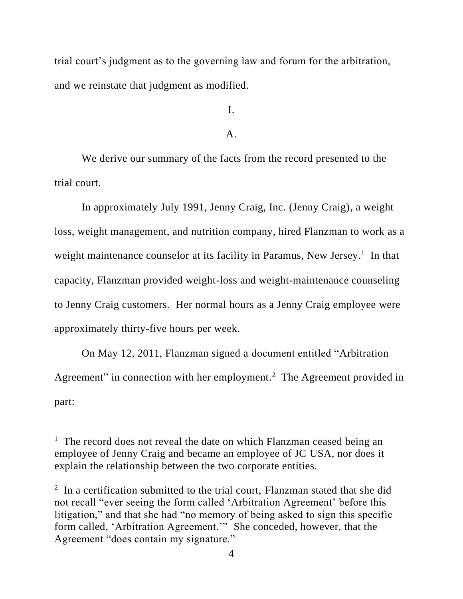trial court's judgment as to the governing law and forum for the arbitration, and we reinstate that judgment as modified.

I.

# $\mathbf{A}$ .

We derive our summary of the facts from the record presented to the trial court.

In approximately July 1991, Jenny Craig, Inc. (Jenny Craig), a weight loss, weight management, and nutrition company, hired Flanzman to work as a weight maintenance counselor at its facility in Paramus, New Jersey.<sup>1</sup> In that capacity, Flanzman provided weight-loss and weight-maintenance counseling to Jenny Craig customers. Her normal hours as a Jenny Craig employee were approximately thirty-five hours per week.

On May 12, 2011, Flanzman signed a document entitled "Arbitration Agreement" in connection with her employment.<sup>2</sup> The Agreement provided in part:

<sup>&</sup>lt;sup>1</sup> The record does not reveal the date on which Flanzman ceased being an employee of Jenny Craig and became an employee of JC USA, nor does it explain the relationship between the two corporate entities.

<sup>&</sup>lt;sup>2</sup> In a certification submitted to the trial court, Flanzman stated that she did not recall "ever seeing the form called 'Arbitration Agreement' before this litigation," and that she had "no memory of being asked to sign this specific form called, 'Arbitration Agreement.'" She conceded, however, that the Agreement "does contain my signature."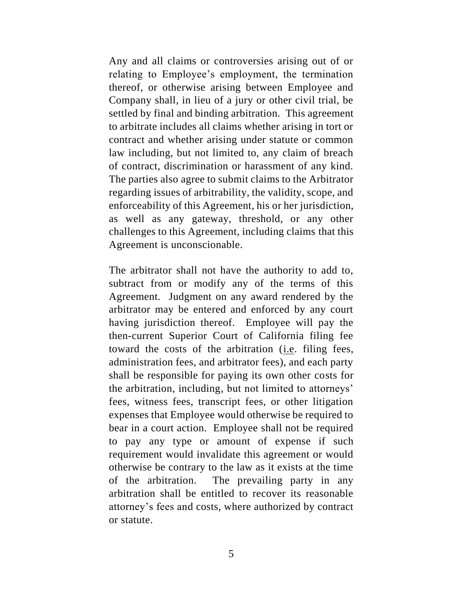Any and all claims or controversies arising out of or relating to Employee's employment, the termination thereof, or otherwise arising between Employee and Company shall, in lieu of a jury or other civil trial, be settled by final and binding arbitration. This agreement to arbitrate includes all claims whether arising in tort or contract and whether arising under statute or common law including, but not limited to, any claim of breach of contract, discrimination or harassment of any kind. The parties also agree to submit claims to the Arbitrator regarding issues of arbitrability, the validity, scope, and enforceability of this Agreement, his or her jurisdiction, as well as any gateway, threshold, or any other challenges to this Agreement, including claims that this Agreement is unconscionable.

The arbitrator shall not have the authority to add to, subtract from or modify any of the terms of this Agreement. Judgment on any award rendered by the arbitrator may be entered and enforced by any court having jurisdiction thereof. Employee will pay the then-current Superior Court of California filing fee toward the costs of the arbitration (i.e. filing fees, administration fees, and arbitrator fees), and each party shall be responsible for paying its own other costs for the arbitration, including, but not limited to attorneys' fees, witness fees, transcript fees, or other litigation expenses that Employee would otherwise be required to bear in a court action. Employee shall not be required to pay any type or amount of expense if such requirement would invalidate this agreement or would otherwise be contrary to the law as it exists at the time of the arbitration. The prevailing party in any arbitration shall be entitled to recover its reasonable attorney's fees and costs, where authorized by contract or statute.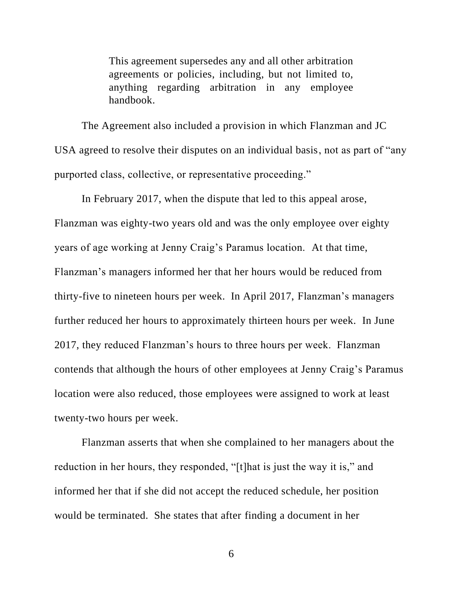This agreement supersedes any and all other arbitration agreements or policies, including, but not limited to, anything regarding arbitration in any employee handbook.

The Agreement also included a provision in which Flanzman and JC USA agreed to resolve their disputes on an individual basis, not as part of "any purported class, collective, or representative proceeding."

In February 2017, when the dispute that led to this appeal arose, Flanzman was eighty-two years old and was the only employee over eighty years of age working at Jenny Craig's Paramus location. At that time, Flanzman's managers informed her that her hours would be reduced from thirty-five to nineteen hours per week. In April 2017, Flanzman's managers further reduced her hours to approximately thirteen hours per week. In June 2017, they reduced Flanzman's hours to three hours per week. Flanzman contends that although the hours of other employees at Jenny Craig's Paramus location were also reduced, those employees were assigned to work at least twenty-two hours per week.

Flanzman asserts that when she complained to her managers about the reduction in her hours, they responded, "[t]hat is just the way it is," and informed her that if she did not accept the reduced schedule, her position would be terminated. She states that after finding a document in her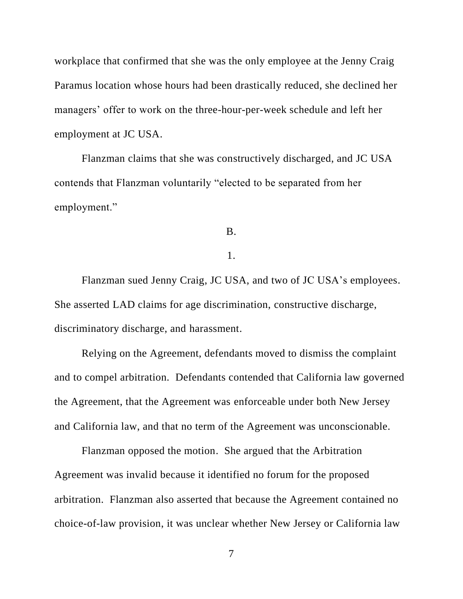workplace that confirmed that she was the only employee at the Jenny Craig Paramus location whose hours had been drastically reduced, she declined her managers' offer to work on the three-hour-per-week schedule and left her employment at JC USA.

Flanzman claims that she was constructively discharged, and JC USA contends that Flanzman voluntarily "elected to be separated from her employment."

B.

# 1.

Flanzman sued Jenny Craig, JC USA, and two of JC USA's employees. She asserted LAD claims for age discrimination, constructive discharge, discriminatory discharge, and harassment.

Relying on the Agreement, defendants moved to dismiss the complaint and to compel arbitration. Defendants contended that California law governed the Agreement, that the Agreement was enforceable under both New Jersey and California law, and that no term of the Agreement was unconscionable.

Flanzman opposed the motion. She argued that the Arbitration Agreement was invalid because it identified no forum for the proposed arbitration. Flanzman also asserted that because the Agreement contained no choice-of-law provision, it was unclear whether New Jersey or California law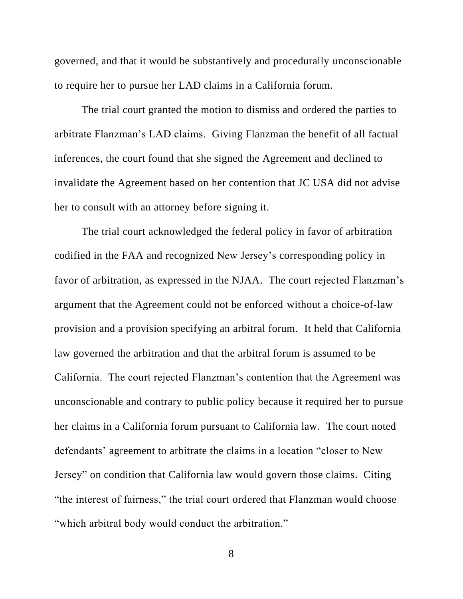governed, and that it would be substantively and procedurally unconscionable to require her to pursue her LAD claims in a California forum.

The trial court granted the motion to dismiss and ordered the parties to arbitrate Flanzman's LAD claims. Giving Flanzman the benefit of all factual inferences, the court found that she signed the Agreement and declined to invalidate the Agreement based on her contention that JC USA did not advise her to consult with an attorney before signing it.

The trial court acknowledged the federal policy in favor of arbitration codified in the FAA and recognized New Jersey's corresponding policy in favor of arbitration, as expressed in the NJAA. The court rejected Flanzman's argument that the Agreement could not be enforced without a choice-of-law provision and a provision specifying an arbitral forum. It held that California law governed the arbitration and that the arbitral forum is assumed to be California. The court rejected Flanzman's contention that the Agreement was unconscionable and contrary to public policy because it required her to pursue her claims in a California forum pursuant to California law. The court noted defendants' agreement to arbitrate the claims in a location "closer to New Jersey" on condition that California law would govern those claims. Citing "the interest of fairness," the trial court ordered that Flanzman would choose "which arbitral body would conduct the arbitration."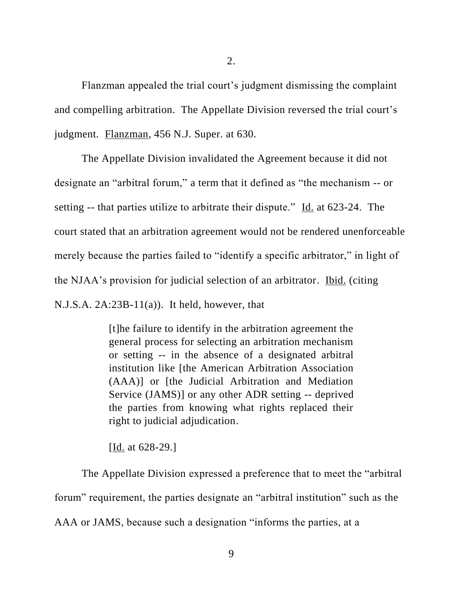Flanzman appealed the trial court's judgment dismissing the complaint and compelling arbitration. The Appellate Division reversed the trial court's judgment. Flanzman, 456 N.J. Super. at 630.

The Appellate Division invalidated the Agreement because it did not designate an "arbitral forum," a term that it defined as "the mechanism -- or setting -- that parties utilize to arbitrate their dispute." Id. at 623-24. The court stated that an arbitration agreement would not be rendered unenforceable merely because the parties failed to "identify a specific arbitrator," in light of the NJAA's provision for judicial selection of an arbitrator. Ibid. (citing  $N.J.S.A. 2A:23B-11(a)$ . It held, however, that

> [t]he failure to identify in the arbitration agreement the general process for selecting an arbitration mechanism or setting -- in the absence of a designated arbitral institution like [the American Arbitration Association (AAA)] or [the Judicial Arbitration and Mediation Service (JAMS)] or any other ADR setting -- deprived the parties from knowing what rights replaced their right to judicial adjudication.

[Id. at 628-29.]

The Appellate Division expressed a preference that to meet the "arbitral forum" requirement, the parties designate an "arbitral institution" such as the AAA or JAMS, because such a designation "informs the parties, at a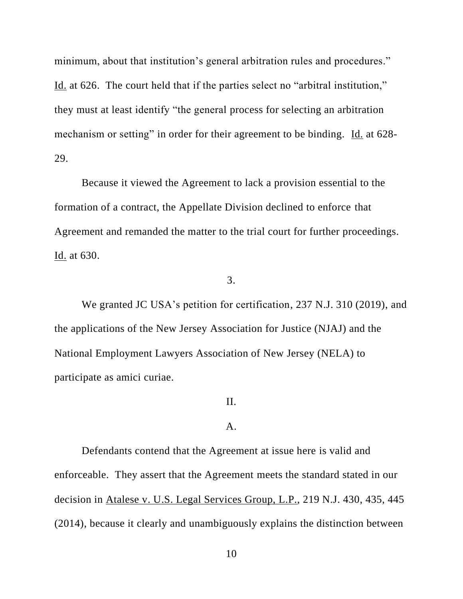minimum, about that institution's general arbitration rules and procedures." Id. at 626. The court held that if the parties select no "arbitral institution," they must at least identify "the general process for selecting an arbitration mechanism or setting" in order for their agreement to be binding. Id. at 628- 29.

Because it viewed the Agreement to lack a provision essential to the formation of a contract, the Appellate Division declined to enforce that Agreement and remanded the matter to the trial court for further proceedings. Id. at 630.

## 3.

We granted JC USA's petition for certification, 237 N.J. 310 (2019), and the applications of the New Jersey Association for Justice (NJAJ) and the National Employment Lawyers Association of New Jersey (NELA) to participate as amici curiae.

# II.

## A.

Defendants contend that the Agreement at issue here is valid and enforceable. They assert that the Agreement meets the standard stated in our decision in Atalese v. U.S. Legal Services Group, L.P., 219 N.J. 430, 435, 445 (2014), because it clearly and unambiguously explains the distinction between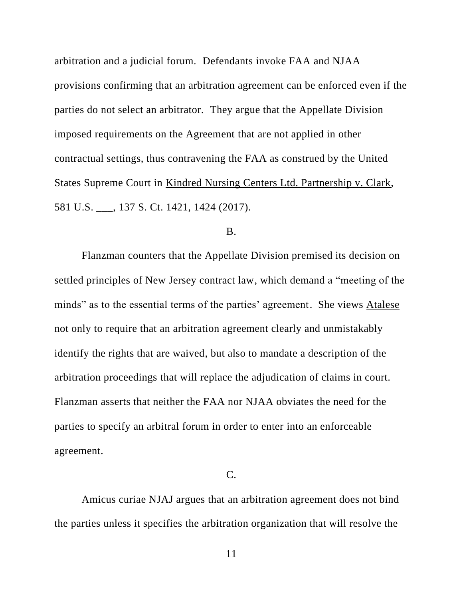arbitration and a judicial forum. Defendants invoke FAA and NJAA provisions confirming that an arbitration agreement can be enforced even if the parties do not select an arbitrator. They argue that the Appellate Division imposed requirements on the Agreement that are not applied in other contractual settings, thus contravening the FAA as construed by the United States Supreme Court in Kindred Nursing Centers Ltd. Partnership v. Clark, 581 U.S. \_\_\_, 137 S. Ct. 1421, 1424 (2017).

## B.

Flanzman counters that the Appellate Division premised its decision on settled principles of New Jersey contract law, which demand a "meeting of the minds" as to the essential terms of the parties' agreement. She views Atalese not only to require that an arbitration agreement clearly and unmistakably identify the rights that are waived, but also to mandate a description of the arbitration proceedings that will replace the adjudication of claims in court. Flanzman asserts that neither the FAA nor NJAA obviates the need for the parties to specify an arbitral forum in order to enter into an enforceable agreement.

## C.

Amicus curiae NJAJ argues that an arbitration agreement does not bind the parties unless it specifies the arbitration organization that will resolve the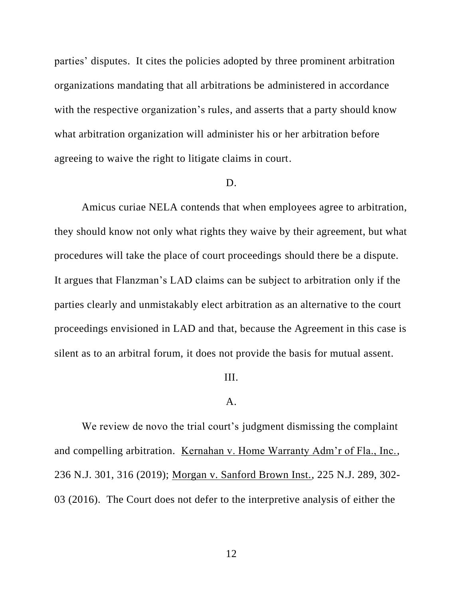parties' disputes. It cites the policies adopted by three prominent arbitration organizations mandating that all arbitrations be administered in accordance with the respective organization's rules, and asserts that a party should know what arbitration organization will administer his or her arbitration before agreeing to waive the right to litigate claims in court.

#### D.

Amicus curiae NELA contends that when employees agree to arbitration, they should know not only what rights they waive by their agreement, but what procedures will take the place of court proceedings should there be a dispute. It argues that Flanzman's LAD claims can be subject to arbitration only if the parties clearly and unmistakably elect arbitration as an alternative to the court proceedings envisioned in LAD and that, because the Agreement in this case is silent as to an arbitral forum, it does not provide the basis for mutual assent.

#### III.

### A.

We review de novo the trial court's judgment dismissing the complaint and compelling arbitration. Kernahan v. Home Warranty Adm'r of Fla., Inc., 236 N.J. 301, 316 (2019); Morgan v. Sanford Brown Inst., 225 N.J. 289, 302- 03 (2016). The Court does not defer to the interpretive analysis of either the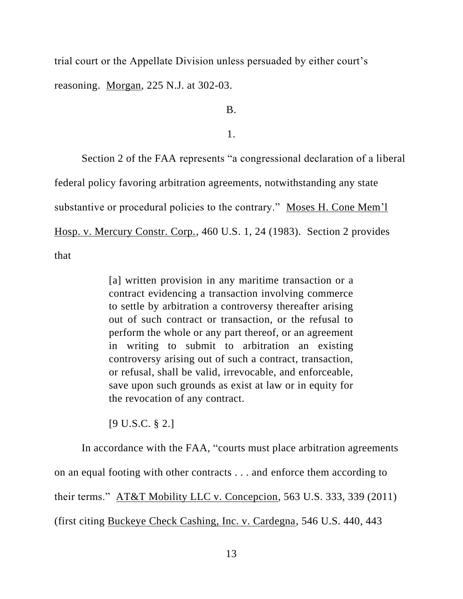trial court or the Appellate Division unless persuaded by either court's reasoning. Morgan, 225 N.J. at 302-03.

B.

1.

Section 2 of the FAA represents "a congressional declaration of a liberal federal policy favoring arbitration agreements, notwithstanding any state substantive or procedural policies to the contrary." Moses H. Cone Mem'l Hosp. v. Mercury Constr. Corp., 460 U.S. 1, 24 (1983). Section 2 provides that

> [a] written provision in any maritime transaction or a contract evidencing a transaction involving commerce to settle by arbitration a controversy thereafter arising out of such contract or transaction, or the refusal to perform the whole or any part thereof, or an agreement in writing to submit to arbitration an existing controversy arising out of such a contract, transaction, or refusal, shall be valid, irrevocable, and enforceable, save upon such grounds as exist at law or in equity for the revocation of any contract.

[9 U.S.C. § 2.]

In accordance with the FAA, "courts must place arbitration agreements on an equal footing with other contracts . . . and enforce them according to their terms." AT&T Mobility LLC v. Concepcion, 563 U.S. 333, 339 (2011) (first citing Buckeye Check Cashing, Inc. v. Cardegna, 546 U.S. 440, 443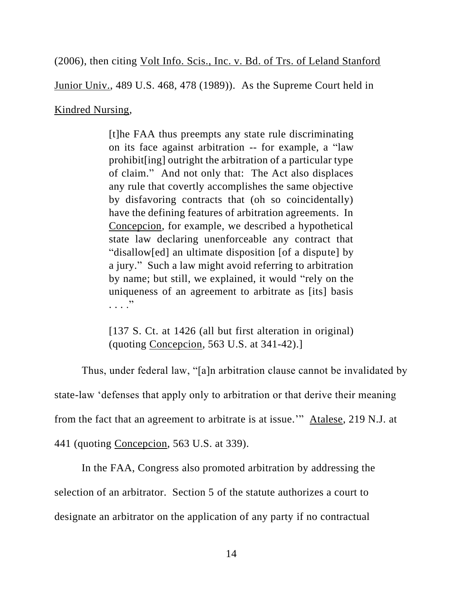(2006), then citing Volt Info. Scis., Inc. v. Bd. of Trs. of Leland Stanford

Junior Univ., 489 U.S. 468, 478 (1989)). As the Supreme Court held in

# Kindred Nursing,

[t]he FAA thus preempts any state rule discriminating on its face against arbitration -- for example, a "law prohibit[ing] outright the arbitration of a particular type of claim." And not only that: The Act also displaces any rule that covertly accomplishes the same objective by disfavoring contracts that (oh so coincidentally) have the defining features of arbitration agreements. In Concepcion, for example, we described a hypothetical state law declaring unenforceable any contract that "disallow[ed] an ultimate disposition [of a dispute] by a jury." Such a law might avoid referring to arbitration by name; but still, we explained, it would "rely on the uniqueness of an agreement to arbitrate as [its] basis . . . ."

[137 S. Ct. at 1426 (all but first alteration in original) (quoting Concepcion, 563 U.S. at 341-42).]

Thus, under federal law, "[a]n arbitration clause cannot be invalidated by state-law 'defenses that apply only to arbitration or that derive their meaning from the fact that an agreement to arbitrate is at issue.'" Atalese, 219 N.J. at

441 (quoting Concepcion, 563 U.S. at 339).

In the FAA, Congress also promoted arbitration by addressing the selection of an arbitrator. Section 5 of the statute authorizes a court to designate an arbitrator on the application of any party if no contractual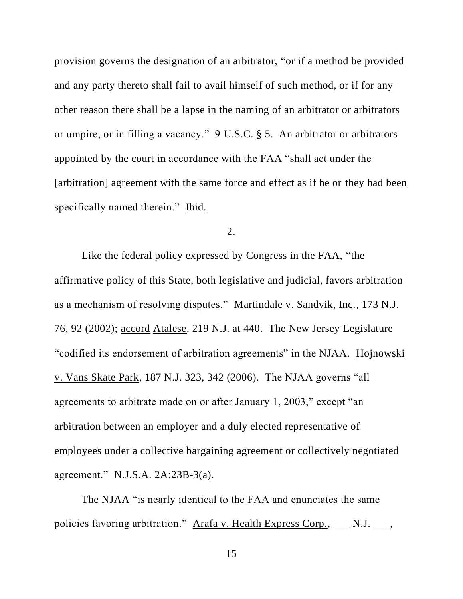provision governs the designation of an arbitrator, "or if a method be provided and any party thereto shall fail to avail himself of such method, or if for any other reason there shall be a lapse in the naming of an arbitrator or arbitrators or umpire, or in filling a vacancy." 9 U.S.C. § 5. An arbitrator or arbitrators appointed by the court in accordance with the FAA "shall act under the [arbitration] agreement with the same force and effect as if he or they had been specifically named therein." Ibid.

## 2.

Like the federal policy expressed by Congress in the FAA, "the affirmative policy of this State, both legislative and judicial, favors arbitration as a mechanism of resolving disputes." Martindale v. Sandvik, Inc., 173 N.J. 76, 92 (2002); accord Atalese, 219 N.J. at 440. The New Jersey Legislature "codified its endorsement of arbitration agreements" in the NJAA. Hojnowski v. Vans Skate Park, 187 N.J. 323, 342 (2006). The NJAA governs "all agreements to arbitrate made on or after January 1, 2003," except "an arbitration between an employer and a duly elected representative of employees under a collective bargaining agreement or collectively negotiated agreement." N.J.S.A. 2A:23B-3(a).

The NJAA "is nearly identical to the FAA and enunciates the same policies favoring arbitration." Arafa v. Health Express Corp., \_\_\_ N.J. \_\_\_,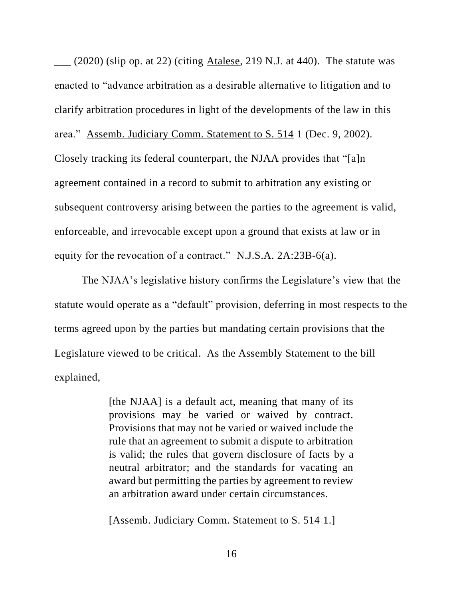$\frac{1}{2}$  (2020) (slip op. at 22) (citing Atalese, 219 N.J. at 440). The statute was enacted to "advance arbitration as a desirable alternative to litigation and to clarify arbitration procedures in light of the developments of the law in this area." Assemb. Judiciary Comm. Statement to S. 514 1 (Dec. 9, 2002). Closely tracking its federal counterpart, the NJAA provides that "[a]n agreement contained in a record to submit to arbitration any existing or subsequent controversy arising between the parties to the agreement is valid, enforceable, and irrevocable except upon a ground that exists at law or in equity for the revocation of a contract." N.J.S.A. 2A:23B-6(a).

The NJAA's legislative history confirms the Legislature's view that the statute would operate as a "default" provision, deferring in most respects to the terms agreed upon by the parties but mandating certain provisions that the Legislature viewed to be critical. As the Assembly Statement to the bill explained,

> [the NJAA] is a default act, meaning that many of its provisions may be varied or waived by contract. Provisions that may not be varied or waived include the rule that an agreement to submit a dispute to arbitration is valid; the rules that govern disclosure of facts by a neutral arbitrator; and the standards for vacating an award but permitting the parties by agreement to review an arbitration award under certain circumstances.

[Assemb. Judiciary Comm. Statement to S. 514 1.]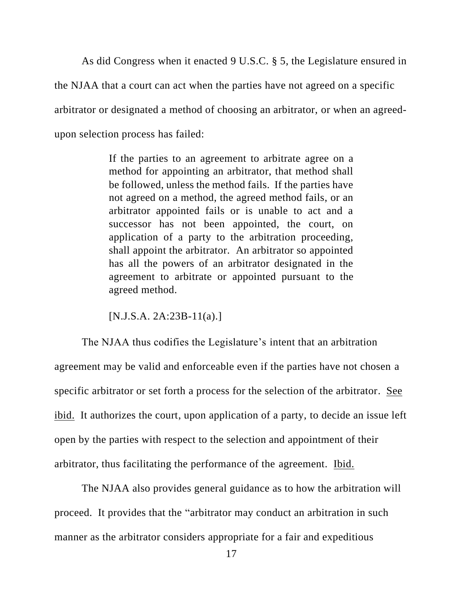As did Congress when it enacted 9 U.S.C. § 5, the Legislature ensured in the NJAA that a court can act when the parties have not agreed on a specific arbitrator or designated a method of choosing an arbitrator, or when an agreedupon selection process has failed:

> If the parties to an agreement to arbitrate agree on a method for appointing an arbitrator, that method shall be followed, unless the method fails. If the parties have not agreed on a method, the agreed method fails, or an arbitrator appointed fails or is unable to act and a successor has not been appointed, the court, on application of a party to the arbitration proceeding, shall appoint the arbitrator. An arbitrator so appointed has all the powers of an arbitrator designated in the agreement to arbitrate or appointed pursuant to the agreed method.

[N.J.S.A. 2A:23B-11(a).]

The NJAA thus codifies the Legislature's intent that an arbitration agreement may be valid and enforceable even if the parties have not chosen a specific arbitrator or set forth a process for the selection of the arbitrator. See ibid. It authorizes the court, upon application of a party, to decide an issue left open by the parties with respect to the selection and appointment of their arbitrator, thus facilitating the performance of the agreement. Ibid.

The NJAA also provides general guidance as to how the arbitration will proceed. It provides that the "arbitrator may conduct an arbitration in such manner as the arbitrator considers appropriate for a fair and expeditious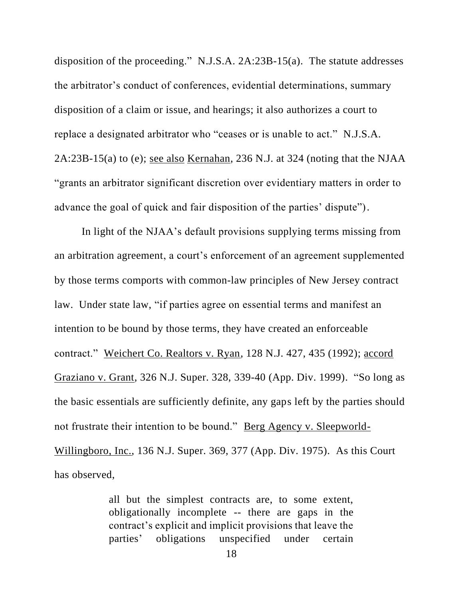disposition of the proceeding." N.J.S.A. 2A:23B-15(a). The statute addresses the arbitrator's conduct of conferences, evidential determinations, summary disposition of a claim or issue, and hearings; it also authorizes a court to replace a designated arbitrator who "ceases or is unable to act." N.J.S.A. 2A:23B-15(a) to (e); see also Kernahan, 236 N.J. at 324 (noting that the NJAA "grants an arbitrator significant discretion over evidentiary matters in order to advance the goal of quick and fair disposition of the parties' dispute").

In light of the NJAA's default provisions supplying terms missing from an arbitration agreement, a court's enforcement of an agreement supplemented by those terms comports with common-law principles of New Jersey contract law. Under state law, "if parties agree on essential terms and manifest an intention to be bound by those terms, they have created an enforceable contract." Weichert Co. Realtors v. Ryan, 128 N.J. 427, 435 (1992); accord Graziano v. Grant, 326 N.J. Super. 328, 339-40 (App. Div. 1999). "So long as the basic essentials are sufficiently definite, any gaps left by the parties should not frustrate their intention to be bound." Berg Agency v. Sleepworld-Willingboro, Inc., 136 N.J. Super. 369, 377 (App. Div. 1975). As this Court has observed,

> all but the simplest contracts are, to some extent, obligationally incomplete -- there are gaps in the contract's explicit and implicit provisions that leave the parties' obligations unspecified under certain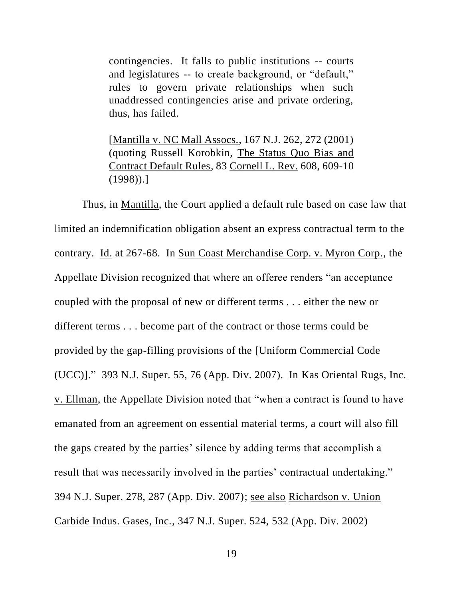contingencies. It falls to public institutions -- courts and legislatures -- to create background, or "default," rules to govern private relationships when such unaddressed contingencies arise and private ordering, thus, has failed.

[Mantilla v. NC Mall Assocs., 167 N.J. 262, 272 (2001) (quoting Russell Korobkin, The Status Quo Bias and Contract Default Rules, 83 Cornell L. Rev. 608, 609-10  $(1998)$ .]

Thus, in Mantilla, the Court applied a default rule based on case law that limited an indemnification obligation absent an express contractual term to the contrary. Id. at 267-68. In Sun Coast Merchandise Corp. v. Myron Corp., the Appellate Division recognized that where an offeree renders "an acceptance coupled with the proposal of new or different terms . . . either the new or different terms . . . become part of the contract or those terms could be provided by the gap-filling provisions of the [Uniform Commercial Code (UCC)]." 393 N.J. Super. 55, 76 (App. Div. 2007). In Kas Oriental Rugs, Inc. v. Ellman, the Appellate Division noted that "when a contract is found to have emanated from an agreement on essential material terms, a court will also fill the gaps created by the parties' silence by adding terms that accomplish a result that was necessarily involved in the parties' contractual undertaking." 394 N.J. Super. 278, 287 (App. Div. 2007); see also Richardson v. Union Carbide Indus. Gases, Inc., 347 N.J. Super. 524, 532 (App. Div. 2002)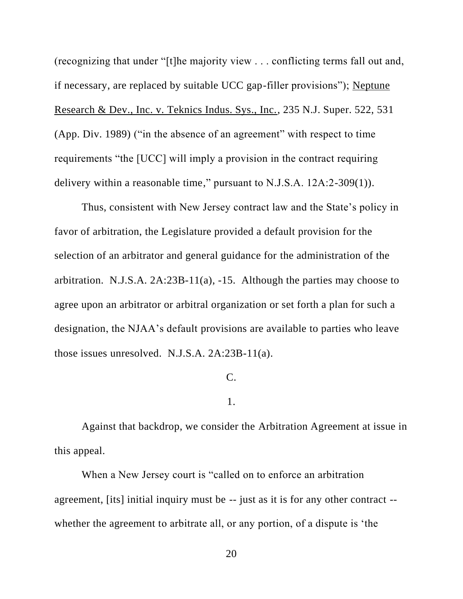(recognizing that under "[t]he majority view . . . conflicting terms fall out and, if necessary, are replaced by suitable UCC gap-filler provisions"); Neptune Research & Dev., Inc. v. Teknics Indus. Sys., Inc., 235 N.J. Super. 522, 531 (App. Div. 1989) ("in the absence of an agreement" with respect to time requirements "the [UCC] will imply a provision in the contract requiring delivery within a reasonable time," pursuant to N.J.S.A. 12A:2-309(1)).

Thus, consistent with New Jersey contract law and the State's policy in favor of arbitration, the Legislature provided a default provision for the selection of an arbitrator and general guidance for the administration of the arbitration. N.J.S.A. 2A:23B-11(a), -15. Although the parties may choose to agree upon an arbitrator or arbitral organization or set forth a plan for such a designation, the NJAA's default provisions are available to parties who leave those issues unresolved. N.J.S.A. 2A:23B-11(a).

## C.

## 1.

Against that backdrop, we consider the Arbitration Agreement at issue in this appeal.

When a New Jersey court is "called on to enforce an arbitration agreement, [its] initial inquiry must be -- just as it is for any other contract - whether the agreement to arbitrate all, or any portion, of a dispute is 'the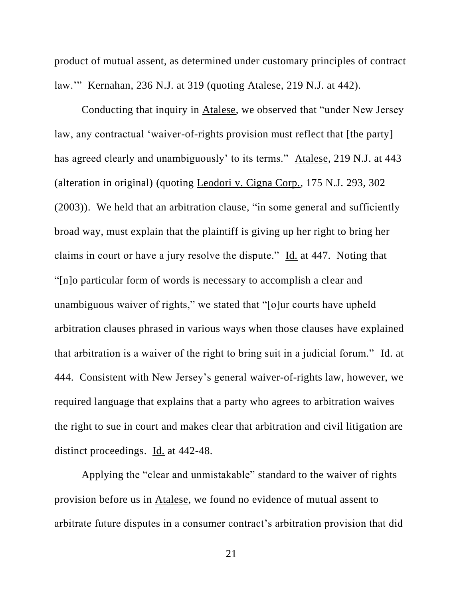product of mutual assent, as determined under customary principles of contract law.'" Kernahan, 236 N.J. at 319 (quoting Atalese, 219 N.J. at 442).

Conducting that inquiry in Atalese, we observed that "under New Jersey law, any contractual 'waiver-of-rights provision must reflect that [the party] has agreed clearly and unambiguously' to its terms." Atalese, 219 N.J. at 443 (alteration in original) (quoting Leodori v. Cigna Corp., 175 N.J. 293, 302 (2003)). We held that an arbitration clause, "in some general and sufficiently broad way, must explain that the plaintiff is giving up her right to bring her claims in court or have a jury resolve the dispute." Id. at 447. Noting that "[n]o particular form of words is necessary to accomplish a clear and unambiguous waiver of rights," we stated that "[o]ur courts have upheld arbitration clauses phrased in various ways when those clauses have explained that arbitration is a waiver of the right to bring suit in a judicial forum." Id. at 444. Consistent with New Jersey's general waiver-of-rights law, however, we required language that explains that a party who agrees to arbitration waives the right to sue in court and makes clear that arbitration and civil litigation are distinct proceedings. Id. at 442-48.

Applying the "clear and unmistakable" standard to the waiver of rights provision before us in Atalese, we found no evidence of mutual assent to arbitrate future disputes in a consumer contract's arbitration provision that did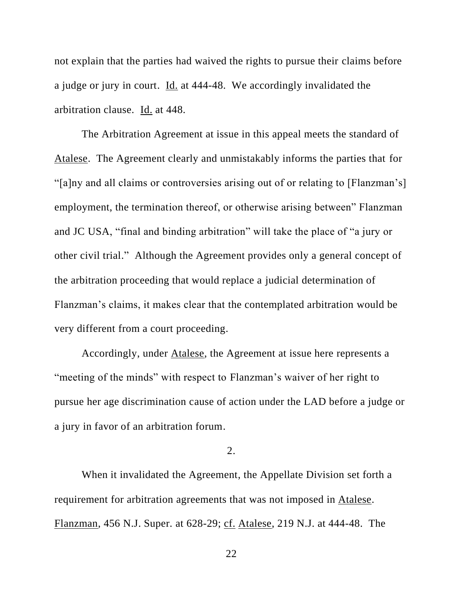not explain that the parties had waived the rights to pursue their claims before a judge or jury in court. Id. at 444-48. We accordingly invalidated the arbitration clause. Id. at 448.

The Arbitration Agreement at issue in this appeal meets the standard of Atalese. The Agreement clearly and unmistakably informs the parties that for "[a]ny and all claims or controversies arising out of or relating to [Flanzman's] employment, the termination thereof, or otherwise arising between" Flanzman and JC USA, "final and binding arbitration" will take the place of "a jury or other civil trial." Although the Agreement provides only a general concept of the arbitration proceeding that would replace a judicial determination of Flanzman's claims, it makes clear that the contemplated arbitration would be very different from a court proceeding.

Accordingly, under Atalese, the Agreement at issue here represents a "meeting of the minds" with respect to Flanzman's waiver of her right to pursue her age discrimination cause of action under the LAD before a judge or a jury in favor of an arbitration forum.

2.

When it invalidated the Agreement, the Appellate Division set forth a requirement for arbitration agreements that was not imposed in Atalese. Flanzman, 456 N.J. Super. at 628-29; cf. Atalese, 219 N.J. at 444-48. The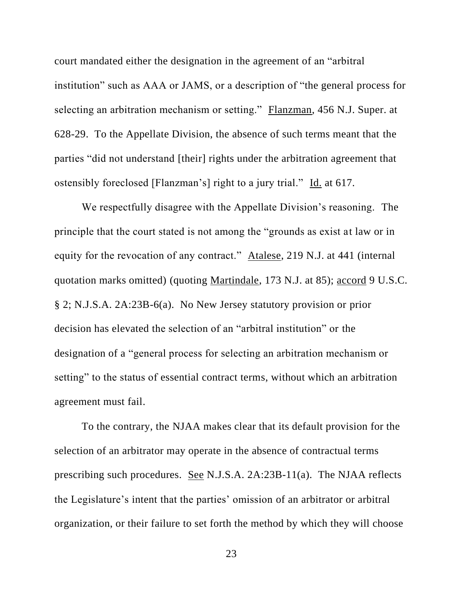court mandated either the designation in the agreement of an "arbitral institution" such as AAA or JAMS, or a description of "the general process for selecting an arbitration mechanism or setting." Flanzman, 456 N.J. Super. at 628-29. To the Appellate Division, the absence of such terms meant that the parties "did not understand [their] rights under the arbitration agreement that ostensibly foreclosed [Flanzman's] right to a jury trial." Id. at 617.

We respectfully disagree with the Appellate Division's reasoning. The principle that the court stated is not among the "grounds as exist at law or in equity for the revocation of any contract." Atalese, 219 N.J. at 441 (internal quotation marks omitted) (quoting Martindale, 173 N.J. at 85); accord 9 U.S.C. § 2; N.J.S.A. 2A:23B-6(a). No New Jersey statutory provision or prior decision has elevated the selection of an "arbitral institution" or the designation of a "general process for selecting an arbitration mechanism or setting" to the status of essential contract terms, without which an arbitration agreement must fail.

To the contrary, the NJAA makes clear that its default provision for the selection of an arbitrator may operate in the absence of contractual terms prescribing such procedures. See N.J.S.A. 2A:23B-11(a). The NJAA reflects the Legislature's intent that the parties' omission of an arbitrator or arbitral organization, or their failure to set forth the method by which they will choose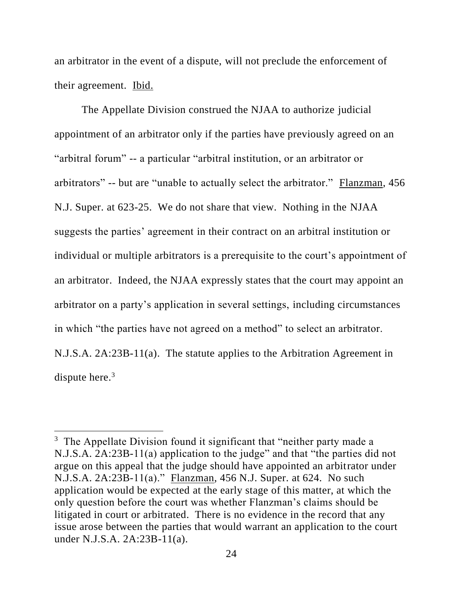an arbitrator in the event of a dispute, will not preclude the enforcement of their agreement. Ibid.

The Appellate Division construed the NJAA to authorize judicial appointment of an arbitrator only if the parties have previously agreed on an "arbitral forum" -- a particular "arbitral institution, or an arbitrator or arbitrators" -- but are "unable to actually select the arbitrator." Flanzman, 456 N.J. Super. at 623-25. We do not share that view. Nothing in the NJAA suggests the parties' agreement in their contract on an arbitral institution or individual or multiple arbitrators is a prerequisite to the court's appointment of an arbitrator. Indeed, the NJAA expressly states that the court may appoint an arbitrator on a party's application in several settings, including circumstances in which "the parties have not agreed on a method" to select an arbitrator. N.J.S.A. 2A:23B-11(a). The statute applies to the Arbitration Agreement in dispute here.<sup>3</sup>

 $3$  The Appellate Division found it significant that "neither party made a N.J.S.A. 2A:23B-11(a) application to the judge" and that "the parties did not argue on this appeal that the judge should have appointed an arbitrator under N.J.S.A. 2A:23B-11(a)." Flanzman, 456 N.J. Super. at 624. No such application would be expected at the early stage of this matter, at which the only question before the court was whether Flanzman's claims should be litigated in court or arbitrated. There is no evidence in the record that any issue arose between the parties that would warrant an application to the court under N.J.S.A. 2A:23B-11(a).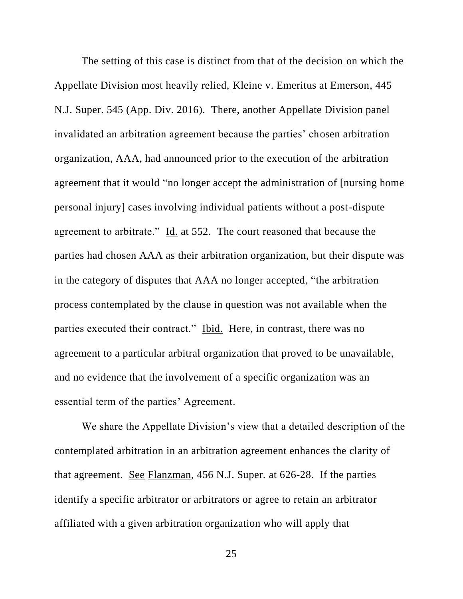The setting of this case is distinct from that of the decision on which the Appellate Division most heavily relied, Kleine v. Emeritus at Emerson, 445 N.J. Super. 545 (App. Div. 2016). There, another Appellate Division panel invalidated an arbitration agreement because the parties' chosen arbitration organization, AAA, had announced prior to the execution of the arbitration agreement that it would "no longer accept the administration of [nursing home personal injury] cases involving individual patients without a post-dispute agreement to arbitrate." Id. at 552. The court reasoned that because the parties had chosen AAA as their arbitration organization, but their dispute was in the category of disputes that AAA no longer accepted, "the arbitration process contemplated by the clause in question was not available when the parties executed their contract." Ibid. Here, in contrast, there was no agreement to a particular arbitral organization that proved to be unavailable, and no evidence that the involvement of a specific organization was an essential term of the parties' Agreement.

We share the Appellate Division's view that a detailed description of the contemplated arbitration in an arbitration agreement enhances the clarity of that agreement. See Flanzman, 456 N.J. Super. at 626-28. If the parties identify a specific arbitrator or arbitrators or agree to retain an arbitrator affiliated with a given arbitration organization who will apply that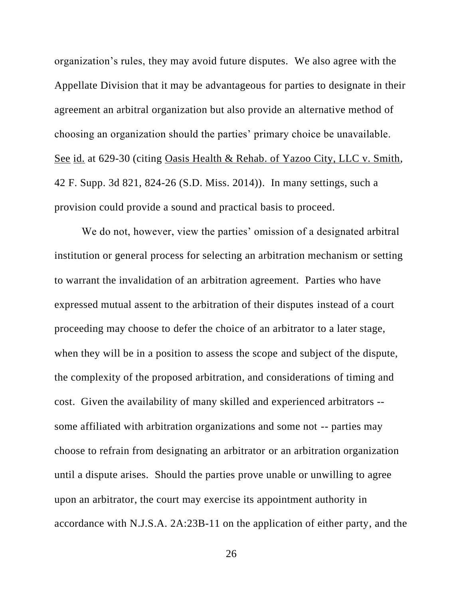organization's rules, they may avoid future disputes. We also agree with the Appellate Division that it may be advantageous for parties to designate in their agreement an arbitral organization but also provide an alternative method of choosing an organization should the parties' primary choice be unavailable. See id. at 629-30 (citing Oasis Health & Rehab. of Yazoo City, LLC v. Smith, 42 F. Supp. 3d 821, 824-26 (S.D. Miss. 2014)). In many settings, such a provision could provide a sound and practical basis to proceed.

We do not, however, view the parties' omission of a designated arbitral institution or general process for selecting an arbitration mechanism or setting to warrant the invalidation of an arbitration agreement. Parties who have expressed mutual assent to the arbitration of their disputes instead of a court proceeding may choose to defer the choice of an arbitrator to a later stage, when they will be in a position to assess the scope and subject of the dispute, the complexity of the proposed arbitration, and considerations of timing and cost. Given the availability of many skilled and experienced arbitrators - some affiliated with arbitration organizations and some not -- parties may choose to refrain from designating an arbitrator or an arbitration organization until a dispute arises. Should the parties prove unable or unwilling to agree upon an arbitrator, the court may exercise its appointment authority in accordance with N.J.S.A. 2A:23B-11 on the application of either party, and the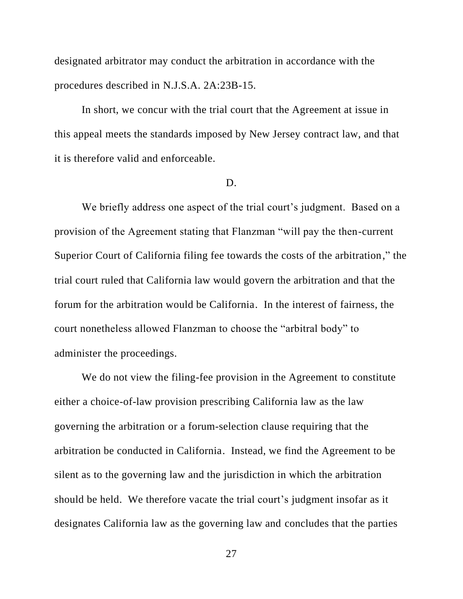designated arbitrator may conduct the arbitration in accordance with the procedures described in N.J.S.A. 2A:23B-15.

In short, we concur with the trial court that the Agreement at issue in this appeal meets the standards imposed by New Jersey contract law, and that it is therefore valid and enforceable.

### D.

We briefly address one aspect of the trial court's judgment. Based on a provision of the Agreement stating that Flanzman "will pay the then-current Superior Court of California filing fee towards the costs of the arbitration," the trial court ruled that California law would govern the arbitration and that the forum for the arbitration would be California. In the interest of fairness, the court nonetheless allowed Flanzman to choose the "arbitral body" to administer the proceedings.

We do not view the filing-fee provision in the Agreement to constitute either a choice-of-law provision prescribing California law as the law governing the arbitration or a forum-selection clause requiring that the arbitration be conducted in California. Instead, we find the Agreement to be silent as to the governing law and the jurisdiction in which the arbitration should be held. We therefore vacate the trial court's judgment insofar as it designates California law as the governing law and concludes that the parties